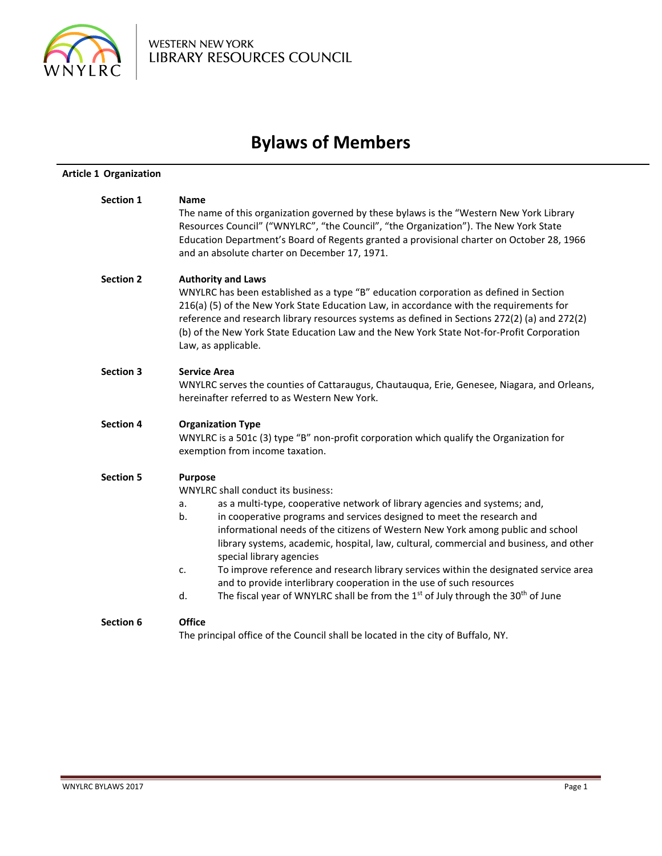

# **Bylaws of Members**

| <b>Article 1 Organization</b> |                                                                                                                                                                                                                                                                                                                                                                                                                                                                                                                                                                                                                                                                                                                                   |  |  |  |
|-------------------------------|-----------------------------------------------------------------------------------------------------------------------------------------------------------------------------------------------------------------------------------------------------------------------------------------------------------------------------------------------------------------------------------------------------------------------------------------------------------------------------------------------------------------------------------------------------------------------------------------------------------------------------------------------------------------------------------------------------------------------------------|--|--|--|
| <b>Section 1</b>              | <b>Name</b><br>The name of this organization governed by these bylaws is the "Western New York Library<br>Resources Council" ("WNYLRC", "the Council", "the Organization"). The New York State<br>Education Department's Board of Regents granted a provisional charter on October 28, 1966<br>and an absolute charter on December 17, 1971.                                                                                                                                                                                                                                                                                                                                                                                      |  |  |  |
| <b>Section 2</b>              | <b>Authority and Laws</b><br>WNYLRC has been established as a type "B" education corporation as defined in Section<br>216(a) (5) of the New York State Education Law, in accordance with the requirements for<br>reference and research library resources systems as defined in Sections 272(2) (a) and 272(2)<br>(b) of the New York State Education Law and the New York State Not-for-Profit Corporation<br>Law, as applicable.                                                                                                                                                                                                                                                                                                |  |  |  |
| <b>Section 3</b>              | <b>Service Area</b><br>WNYLRC serves the counties of Cattaraugus, Chautauqua, Erie, Genesee, Niagara, and Orleans,<br>hereinafter referred to as Western New York.                                                                                                                                                                                                                                                                                                                                                                                                                                                                                                                                                                |  |  |  |
| <b>Section 4</b>              | <b>Organization Type</b><br>WNYLRC is a 501c (3) type "B" non-profit corporation which qualify the Organization for<br>exemption from income taxation.                                                                                                                                                                                                                                                                                                                                                                                                                                                                                                                                                                            |  |  |  |
| <b>Section 5</b>              | <b>Purpose</b><br><b>WNYLRC shall conduct its business:</b><br>as a multi-type, cooperative network of library agencies and systems; and,<br>а.<br>in cooperative programs and services designed to meet the research and<br>b.<br>informational needs of the citizens of Western New York among public and school<br>library systems, academic, hospital, law, cultural, commercial and business, and other<br>special library agencies<br>To improve reference and research library services within the designated service area<br>c.<br>and to provide interlibrary cooperation in the use of such resources<br>The fiscal year of WNYLRC shall be from the 1 <sup>st</sup> of July through the 30 <sup>th</sup> of June<br>d. |  |  |  |
| Section 6                     | <b>Office</b><br>The principal office of the Council shall be located in the city of Buffalo, NY.                                                                                                                                                                                                                                                                                                                                                                                                                                                                                                                                                                                                                                 |  |  |  |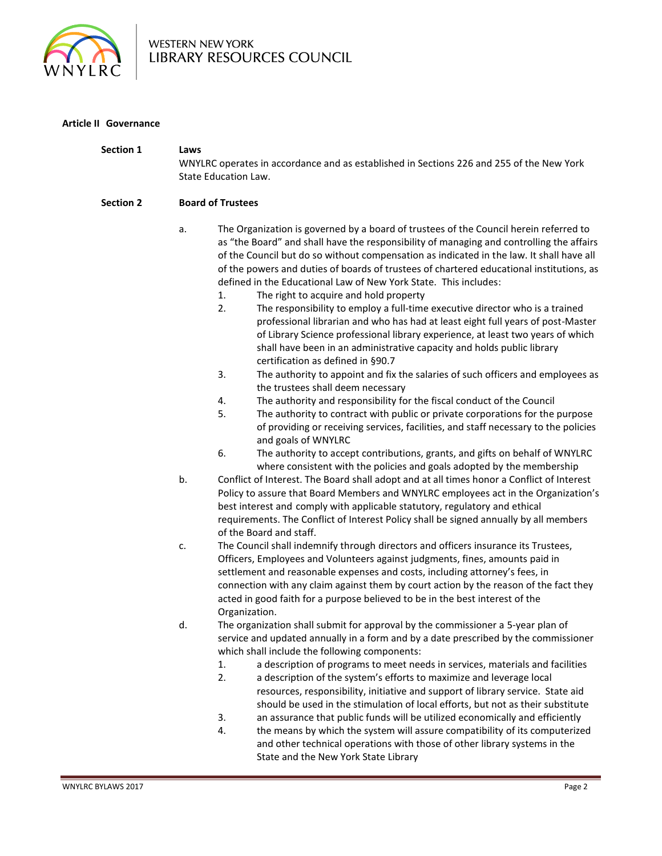

# **Article II Governance**

| <b>Section 1</b> | Laws<br>WNYLRC operates in accordance and as established in Sections 226 and 255 of the New York<br>State Education Law.                                                                                                                                                                                                                                                                                                                                                                                                                                                                                                                                                                                                                                                                                                                                                                                                                                                                                                                                                                                                                                                                                                                                                                                                                                                                |  |  |  |
|------------------|-----------------------------------------------------------------------------------------------------------------------------------------------------------------------------------------------------------------------------------------------------------------------------------------------------------------------------------------------------------------------------------------------------------------------------------------------------------------------------------------------------------------------------------------------------------------------------------------------------------------------------------------------------------------------------------------------------------------------------------------------------------------------------------------------------------------------------------------------------------------------------------------------------------------------------------------------------------------------------------------------------------------------------------------------------------------------------------------------------------------------------------------------------------------------------------------------------------------------------------------------------------------------------------------------------------------------------------------------------------------------------------------|--|--|--|
| <b>Section 2</b> | <b>Board of Trustees</b>                                                                                                                                                                                                                                                                                                                                                                                                                                                                                                                                                                                                                                                                                                                                                                                                                                                                                                                                                                                                                                                                                                                                                                                                                                                                                                                                                                |  |  |  |
|                  | The Organization is governed by a board of trustees of the Council herein referred to<br>a.<br>as "the Board" and shall have the responsibility of managing and controlling the affairs<br>of the Council but do so without compensation as indicated in the law. It shall have all<br>of the powers and duties of boards of trustees of chartered educational institutions, as<br>defined in the Educational Law of New York State. This includes:<br>The right to acquire and hold property<br>1.<br>2.<br>The responsibility to employ a full-time executive director who is a trained<br>professional librarian and who has had at least eight full years of post-Master<br>of Library Science professional library experience, at least two years of which<br>shall have been in an administrative capacity and holds public library<br>certification as defined in §90.7<br>3.<br>The authority to appoint and fix the salaries of such officers and employees as<br>the trustees shall deem necessary<br>The authority and responsibility for the fiscal conduct of the Council<br>4.<br>5.<br>The authority to contract with public or private corporations for the purpose<br>of providing or receiving services, facilities, and staff necessary to the policies<br>and goals of WNYLRC<br>6.<br>The authority to accept contributions, grants, and gifts on behalf of WNYLRC |  |  |  |
|                  | where consistent with the policies and goals adopted by the membership<br>b.<br>Conflict of Interest. The Board shall adopt and at all times honor a Conflict of Interest<br>Policy to assure that Board Members and WNYLRC employees act in the Organization's<br>best interest and comply with applicable statutory, regulatory and ethical<br>requirements. The Conflict of Interest Policy shall be signed annually by all members<br>of the Board and staff.                                                                                                                                                                                                                                                                                                                                                                                                                                                                                                                                                                                                                                                                                                                                                                                                                                                                                                                       |  |  |  |
|                  | The Council shall indemnify through directors and officers insurance its Trustees,<br>c.<br>Officers, Employees and Volunteers against judgments, fines, amounts paid in<br>settlement and reasonable expenses and costs, including attorney's fees, in<br>connection with any claim against them by court action by the reason of the fact they<br>acted in good faith for a purpose believed to be in the best interest of the<br>Organization.                                                                                                                                                                                                                                                                                                                                                                                                                                                                                                                                                                                                                                                                                                                                                                                                                                                                                                                                       |  |  |  |
|                  | d.<br>The organization shall submit for approval by the commissioner a 5-year plan of<br>service and updated annually in a form and by a date prescribed by the commissioner<br>which shall include the following components:<br>a description of programs to meet needs in services, materials and facilities<br>1.<br>2.<br>a description of the system's efforts to maximize and leverage local<br>resources, responsibility, initiative and support of library service. State aid<br>should be used in the stimulation of local efforts, but not as their substitute<br>an assurance that public funds will be utilized economically and efficiently<br>3.<br>the means by which the system will assure compatibility of its computerized<br>4.<br>and other technical operations with those of other library systems in the<br>State and the New York State Library                                                                                                                                                                                                                                                                                                                                                                                                                                                                                                                |  |  |  |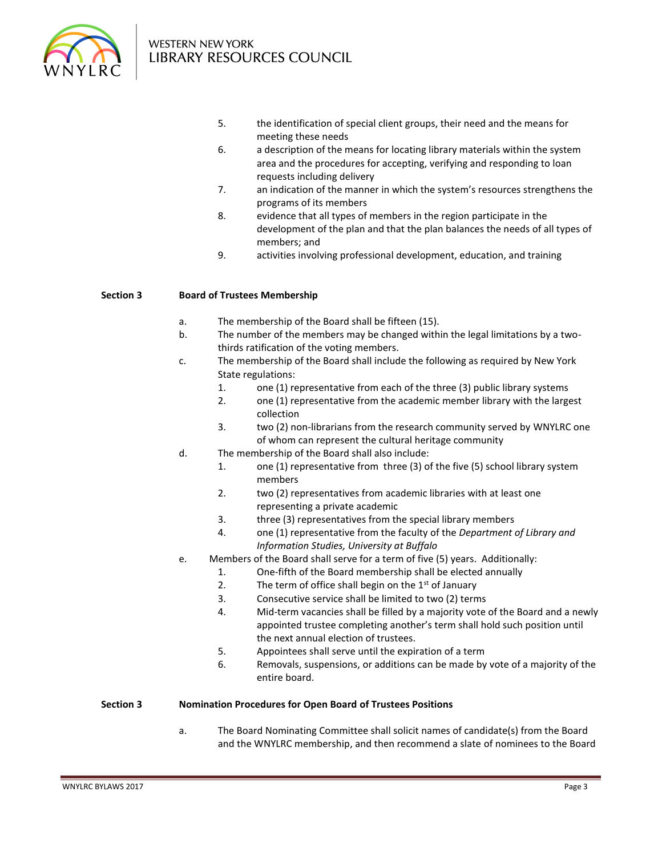

- 5. the identification of special client groups, their need and the means for meeting these needs
- 6. a description of the means for locating library materials within the system area and the procedures for accepting, verifying and responding to loan requests including delivery
- 7. an indication of the manner in which the system's resources strengthens the programs of its members
- 8. evidence that all types of members in the region participate in the development of the plan and that the plan balances the needs of all types of members; and
- 9. activities involving professional development, education, and training

## **Section 3 Board of Trustees Membership**

- a. The membership of the Board shall be fifteen (15).
- b. The number of the members may be changed within the legal limitations by a twothirds ratification of the voting members.
- c. The membership of the Board shall include the following as required by New York State regulations:
	- 1. one (1) representative from each of the three (3) public library systems
	- 2. one (1) representative from the academic member library with the largest collection
	- 3. two (2) non-librarians from the research community served by WNYLRC one of whom can represent the cultural heritage community
- d. The membership of the Board shall also include:
	- 1. one (1) representative from three (3) of the five (5) school library system members
	- 2. two (2) representatives from academic libraries with at least one representing a private academic
	- 3. three (3) representatives from the special library members
	- 4. one (1) representative from the faculty of the *Department of Library and Information Studies, University at Buffalo*
- e. Members of the Board shall serve for a term of five (5) years. Additionally:
	- 1. One-fifth of the Board membership shall be elected annually
	- 2. The term of office shall begin on the  $1<sup>st</sup>$  of January
	- 3. Consecutive service shall be limited to two (2) terms
	- 4. Mid-term vacancies shall be filled by a majority vote of the Board and a newly appointed trustee completing another's term shall hold such position until the next annual election of trustees.
	- 5. Appointees shall serve until the expiration of a term
	- 6. Removals, suspensions, or additions can be made by vote of a majority of the entire board.

#### **Section 3 Nomination Procedures for Open Board of Trustees Positions**

a. The Board Nominating Committee shall solicit names of candidate(s) from the Board and the WNYLRC membership, and then recommend a slate of nominees to the Board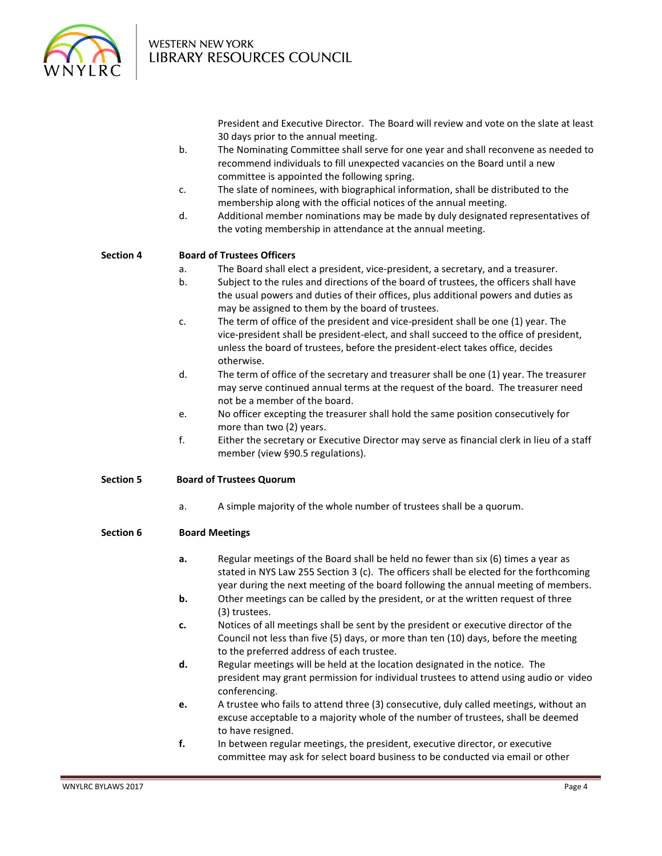

> President and Executive Director. The Board will review and vote on the slate at least 30 days prior to the annual meeting.

- b. The Nominating Committee shall serve for one year and shall reconvene as needed to recommend individuals to fill unexpected vacancies on the Board until a new committee is appointed the following spring.
- c. The slate of nominees, with biographical information, shall be distributed to the membership along with the official notices of the annual meeting.
- d. Additional member nominations may be made by duly designated representatives of the voting membership in attendance at the annual meeting.

## **Section 4 Board of Trustees Officers**

- a. The Board shall elect a president, vice-president, a secretary, and a treasurer.
- b. Subject to the rules and directions of the board of trustees, the officers shall have the usual powers and duties of their offices, plus additional powers and duties as may be assigned to them by the board of trustees.
- c. The term of office of the president and vice-president shall be one (1) year. The vice-president shall be president-elect, and shall succeed to the office of president, unless the board of trustees, before the president-elect takes office, decides otherwise.
- d. The term of office of the secretary and treasurer shall be one (1) year. The treasurer may serve continued annual terms at the request of the board. The treasurer need not be a member of the board.
- e. No officer excepting the treasurer shall hold the same position consecutively for more than two (2) years.
- f. Either the secretary or Executive Director may serve as financial clerk in lieu of a staff member (view §90.5 regulations).

# **Section 5 Board of Trustees Quorum**

a. A simple majority of the whole number of trustees shall be a quorum.

# **Section 6 Board Meetings**

- **a.** Regular meetings of the Board shall be held no fewer than six (6) times a year as stated in NYS Law 255 Section 3 (c). The officers shall be elected for the forthcoming year during the next meeting of the board following the annual meeting of members.
- **b.** Other meetings can be called by the president, or at the written request of three (3) trustees.
- **c.** Notices of all meetings shall be sent by the president or executive director of the Council not less than five (5) days, or more than ten (10) days, before the meeting to the preferred address of each trustee.
- **d.** Regular meetings will be held at the location designated in the notice. The president may grant permission for individual trustees to attend using audio or video conferencing.
- **e.** A trustee who fails to attend three (3) consecutive, duly called meetings, without an excuse acceptable to a majority whole of the number of trustees, shall be deemed to have resigned.
- **f.** In between regular meetings, the president, executive director, or executive committee may ask for select board business to be conducted via email or other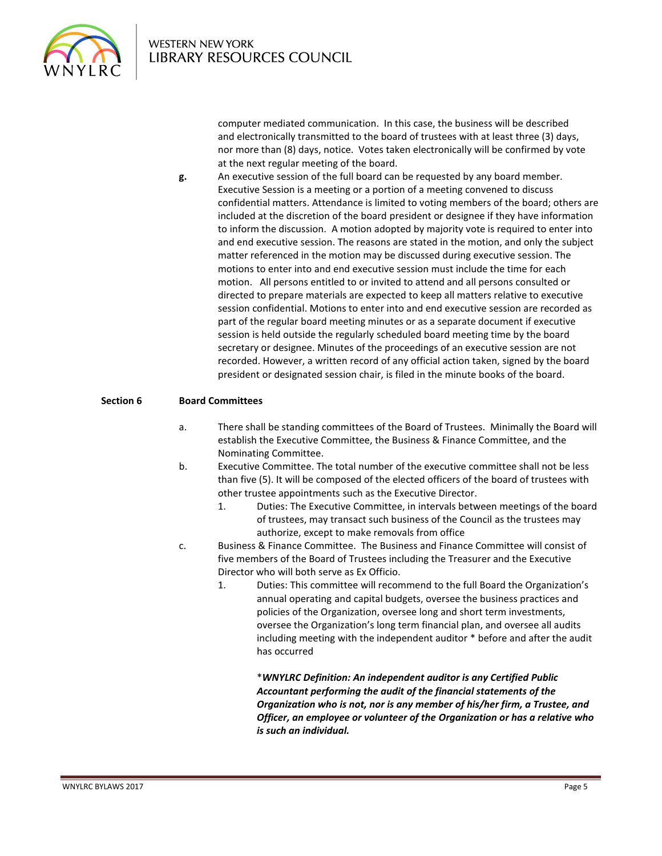

computer mediated communication. In this case, the business will be described and electronically transmitted to the board of trustees with at least three (3) days, nor more than (8) days, notice. Votes taken electronically will be confirmed by vote at the next regular meeting of the board.

**g.** An executive session of the full board can be requested by any board member. Executive Session is a meeting or a portion of a meeting convened to discuss confidential matters. Attendance is limited to voting members of the board; others are included at the discretion of the board president or designee if they have information to inform the discussion. A motion adopted by majority vote is required to enter into and end executive session. The reasons are stated in the motion, and only the subject matter referenced in the motion may be discussed during executive session. The motions to enter into and end executive session must include the time for each motion. All persons entitled to or invited to attend and all persons consulted or directed to prepare materials are expected to keep all matters relative to executive session confidential. Motions to enter into and end executive session are recorded as part of the regular board meeting minutes or as a separate document if executive session is held outside the regularly scheduled board meeting time by the board secretary or designee. Minutes of the proceedings of an executive session are not recorded. However, a written record of any official action taken, signed by the board president or designated session chair, is filed in the minute books of the board.

## **Section 6 Board Committees**

- a. There shall be standing committees of the Board of Trustees. Minimally the Board will establish the Executive Committee, the Business & Finance Committee, and the Nominating Committee.
- b. Executive Committee. The total number of the executive committee shall not be less than five (5). It will be composed of the elected officers of the board of trustees with other trustee appointments such as the Executive Director.
	- 1. Duties: The Executive Committee, in intervals between meetings of the board of trustees, may transact such business of the Council as the trustees may authorize, except to make removals from office
- c. Business & Finance Committee. The Business and Finance Committee will consist of five members of the Board of Trustees including the Treasurer and the Executive Director who will both serve as Ex Officio.
	- 1. Duties: This committee will recommend to the full Board the Organization's annual operating and capital budgets, oversee the business practices and policies of the Organization, oversee long and short term investments, oversee the Organization's long term financial plan, and oversee all audits including meeting with the independent auditor \* before and after the audit has occurred

\**WNYLRC Definition: An independent auditor is any Certified Public Accountant performing the audit of the financial statements of the Organization who is not, nor is any member of his/her firm, a Trustee, and Officer, an employee or volunteer of the Organization or has a relative who is such an individual.*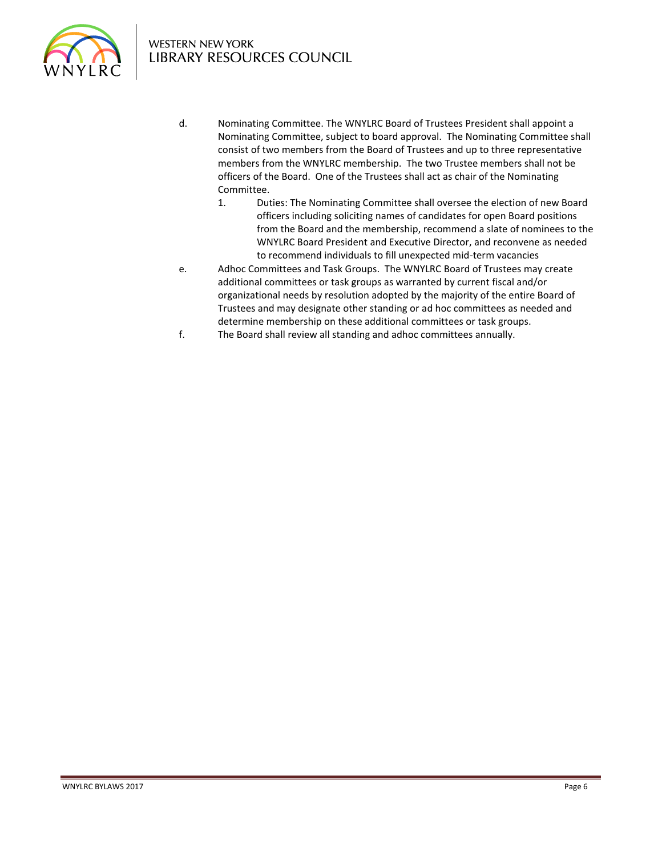

- d. Nominating Committee. The WNYLRC Board of Trustees President shall appoint a Nominating Committee, subject to board approval. The Nominating Committee shall consist of two members from the Board of Trustees and up to three representative members from the WNYLRC membership. The two Trustee members shall not be officers of the Board. One of the Trustees shall act as chair of the Nominating Committee.
	- 1. Duties: The Nominating Committee shall oversee the election of new Board officers including soliciting names of candidates for open Board positions from the Board and the membership, recommend a slate of nominees to the WNYLRC Board President and Executive Director, and reconvene as needed to recommend individuals to fill unexpected mid-term vacancies
- e. Adhoc Committees and Task Groups. The WNYLRC Board of Trustees may create additional committees or task groups as warranted by current fiscal and/or organizational needs by resolution adopted by the majority of the entire Board of Trustees and may designate other standing or ad hoc committees as needed and determine membership on these additional committees or task groups.
- f. The Board shall review all standing and adhoc committees annually.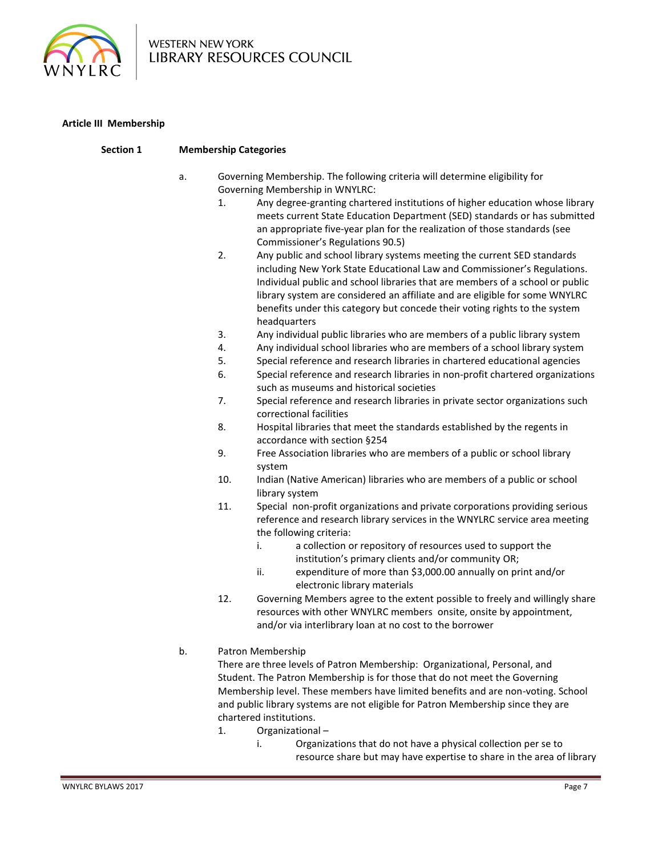

# **Article III Membership**

| Section 1 | <b>Membership Categories</b> |                                                                                                                |                                                                                                                                                                                                                                                                                                                                                                                                                   |  |
|-----------|------------------------------|----------------------------------------------------------------------------------------------------------------|-------------------------------------------------------------------------------------------------------------------------------------------------------------------------------------------------------------------------------------------------------------------------------------------------------------------------------------------------------------------------------------------------------------------|--|
|           | a.                           | Governing Membership. The following criteria will determine eligibility for<br>Governing Membership in WNYLRC: |                                                                                                                                                                                                                                                                                                                                                                                                                   |  |
|           |                              | 1.                                                                                                             | Any degree-granting chartered institutions of higher education whose library<br>meets current State Education Department (SED) standards or has submitted<br>an appropriate five-year plan for the realization of those standards (see<br>Commissioner's Regulations 90.5)                                                                                                                                        |  |
|           |                              | 2.                                                                                                             | Any public and school library systems meeting the current SED standards<br>including New York State Educational Law and Commissioner's Regulations.<br>Individual public and school libraries that are members of a school or public<br>library system are considered an affiliate and are eligible for some WNYLRC<br>benefits under this category but concede their voting rights to the system<br>headquarters |  |
|           |                              | 3.                                                                                                             | Any individual public libraries who are members of a public library system                                                                                                                                                                                                                                                                                                                                        |  |
|           |                              | 4.                                                                                                             | Any individual school libraries who are members of a school library system                                                                                                                                                                                                                                                                                                                                        |  |
|           |                              | 5.                                                                                                             | Special reference and research libraries in chartered educational agencies                                                                                                                                                                                                                                                                                                                                        |  |
|           |                              | 6.                                                                                                             | Special reference and research libraries in non-profit chartered organizations<br>such as museums and historical societies                                                                                                                                                                                                                                                                                        |  |
|           |                              | 7.                                                                                                             | Special reference and research libraries in private sector organizations such<br>correctional facilities                                                                                                                                                                                                                                                                                                          |  |
|           |                              | 8.                                                                                                             | Hospital libraries that meet the standards established by the regents in<br>accordance with section §254                                                                                                                                                                                                                                                                                                          |  |
|           |                              | 9.                                                                                                             | Free Association libraries who are members of a public or school library<br>system                                                                                                                                                                                                                                                                                                                                |  |
|           |                              | 10.                                                                                                            | Indian (Native American) libraries who are members of a public or school<br>library system                                                                                                                                                                                                                                                                                                                        |  |
|           |                              | 11.                                                                                                            | Special non-profit organizations and private corporations providing serious<br>reference and research library services in the WNYLRC service area meeting<br>the following criteria:<br>a collection or repository of resources used to support the<br>i.<br>institution's primary clients and/or community OR;<br>ii.<br>expenditure of more than \$3,000.00 annually on print and/or                            |  |
|           |                              |                                                                                                                | electronic library materials                                                                                                                                                                                                                                                                                                                                                                                      |  |
|           |                              | 12.                                                                                                            | Governing Members agree to the extent possible to freely and willingly share<br>resources with other WNYLRC members onsite, onsite by appointment,<br>and/or via interlibrary loan at no cost to the borrower                                                                                                                                                                                                     |  |
|           | b.                           |                                                                                                                | Patron Membership                                                                                                                                                                                                                                                                                                                                                                                                 |  |
|           |                              |                                                                                                                | There are three levels of Patron Membership: Organizational, Personal, and                                                                                                                                                                                                                                                                                                                                        |  |
|           |                              |                                                                                                                | Student. The Patron Membership is for those that do not meet the Governing                                                                                                                                                                                                                                                                                                                                        |  |
|           |                              |                                                                                                                | Membership level. These members have limited benefits and are non-voting. School                                                                                                                                                                                                                                                                                                                                  |  |
|           |                              |                                                                                                                | and public library systems are not eligible for Patron Membership since they are                                                                                                                                                                                                                                                                                                                                  |  |
|           |                              |                                                                                                                | chartered institutions.                                                                                                                                                                                                                                                                                                                                                                                           |  |
|           |                              | 1.                                                                                                             | Organizational-                                                                                                                                                                                                                                                                                                                                                                                                   |  |
|           |                              |                                                                                                                | Organizations that do not have a physical collection per se to<br>i.                                                                                                                                                                                                                                                                                                                                              |  |
|           |                              |                                                                                                                | resource share but may have expertise to share in the area of library                                                                                                                                                                                                                                                                                                                                             |  |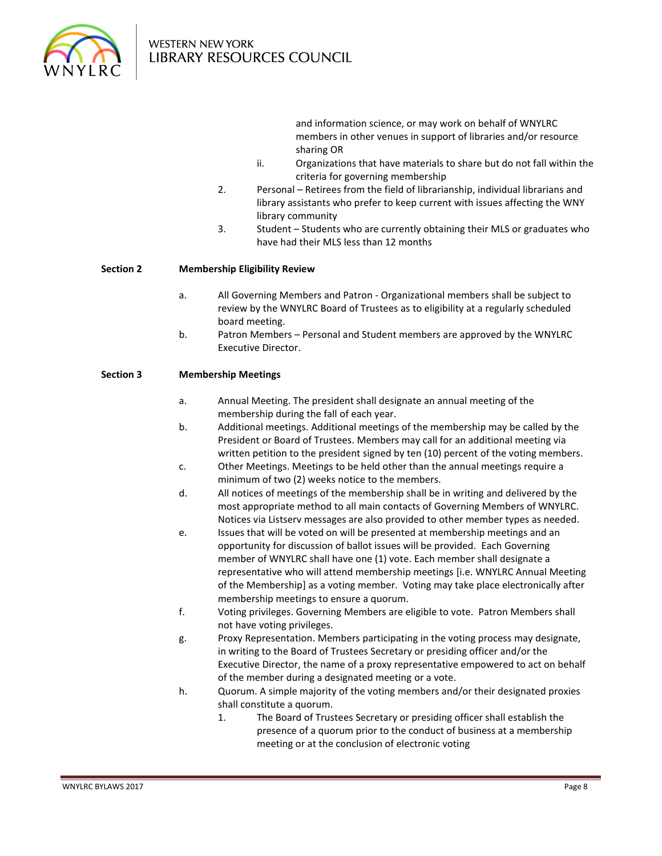

and information science, or may work on behalf of WNYLRC members in other venues in support of libraries and/or resource sharing OR

- ii. Organizations that have materials to share but do not fall within the criteria for governing membership
- 2. Personal Retirees from the field of librarianship, individual librarians and library assistants who prefer to keep current with issues affecting the WNY library community
- 3. Student Students who are currently obtaining their MLS or graduates who have had their MLS less than 12 months

# **Section 2 Membership Eligibility Review**

- a. All Governing Members and Patron Organizational members shall be subject to review by the WNYLRC Board of Trustees as to eligibility at a regularly scheduled board meeting.
- b. Patron Members Personal and Student members are approved by the WNYLRC Executive Director.

## **Section 3 Membership Meetings**

- a. Annual Meeting. The president shall designate an annual meeting of the membership during the fall of each year.
- b. Additional meetings. Additional meetings of the membership may be called by the President or Board of Trustees. Members may call for an additional meeting via written petition to the president signed by ten (10) percent of the voting members.
- c. Other Meetings. Meetings to be held other than the annual meetings require a minimum of two (2) weeks notice to the members.
- d. All notices of meetings of the membership shall be in writing and delivered by the most appropriate method to all main contacts of Governing Members of WNYLRC. Notices via Listserv messages are also provided to other member types as needed.
- e. Issues that will be voted on will be presented at membership meetings and an opportunity for discussion of ballot issues will be provided. Each Governing member of WNYLRC shall have one (1) vote. Each member shall designate a representative who will attend membership meetings [i.e. WNYLRC Annual Meeting of the Membership] as a voting member. Voting may take place electronically after membership meetings to ensure a quorum.
- f. Voting privileges. Governing Members are eligible to vote. Patron Members shall not have voting privileges.
- g. Proxy Representation. Members participating in the voting process may designate, in writing to the Board of Trustees Secretary or presiding officer and/or the Executive Director, the name of a proxy representative empowered to act on behalf of the member during a designated meeting or a vote.
- h. Quorum. A simple majority of the voting members and/or their designated proxies shall constitute a quorum.
	- 1. The Board of Trustees Secretary or presiding officer shall establish the presence of a quorum prior to the conduct of business at a membership meeting or at the conclusion of electronic voting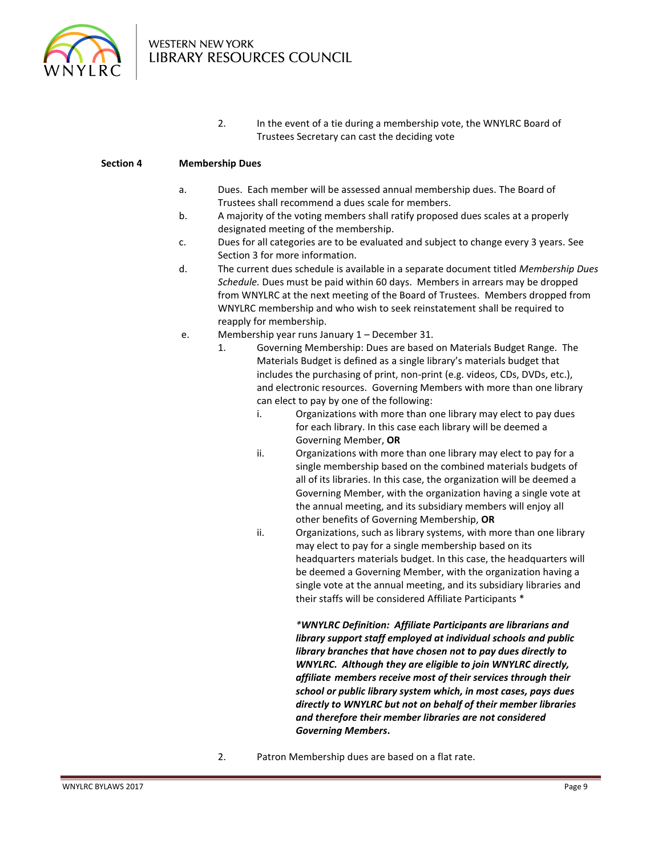

2. In the event of a tie during a membership vote, the WNYLRC Board of Trustees Secretary can cast the deciding vote

# **Section 4 Membership Dues**

- a. Dues. Each member will be assessed annual membership dues. The Board of Trustees shall recommend a dues scale for members.
- b. A majority of the voting members shall ratify proposed dues scales at a properly designated meeting of the membership.
- c. Dues for all categories are to be evaluated and subject to change every 3 years. See Section 3 for more information.
- d. The current dues schedule is available in a separate document titled *Membership Dues Schedule.* Dues must be paid within 60 days. Members in arrears may be dropped from WNYLRC at the next meeting of the Board of Trustees. Members dropped from WNYLRC membership and who wish to seek reinstatement shall be required to reapply for membership.
- e. Membership year runs January 1 December 31.
	- 1. Governing Membership: Dues are based on Materials Budget Range. The Materials Budget is defined as a single library's materials budget that includes the purchasing of print, non-print (e.g. videos, CDs, DVDs, etc.), and electronic resources. Governing Members with more than one library can elect to pay by one of the following:
		- i. Organizations with more than one library may elect to pay dues for each library. In this case each library will be deemed a Governing Member, **OR**
		- ii. Organizations with more than one library may elect to pay for a single membership based on the combined materials budgets of all of its libraries. In this case, the organization will be deemed a Governing Member, with the organization having a single vote at the annual meeting, and its subsidiary members will enjoy all other benefits of Governing Membership, **OR**
		- ii. Organizations, such as library systems, with more than one library may elect to pay for a single membership based on its headquarters materials budget. In this case, the headquarters will be deemed a Governing Member, with the organization having a single vote at the annual meeting, and its subsidiary libraries and their staffs will be considered Affiliate Participants \*

*\*WNYLRC Definition: Affiliate Participants are librarians and library support staff employed at individual schools and public library branches that have chosen not to pay dues directly to WNYLRC. Although they are eligible to join WNYLRC directly, affiliate members receive most of their services through their school or public library system which, in most cases, pays dues directly to WNYLRC but not on behalf of their member libraries and therefore their member libraries are not considered Governing Members***.**

2. Patron Membership dues are based on a flat rate.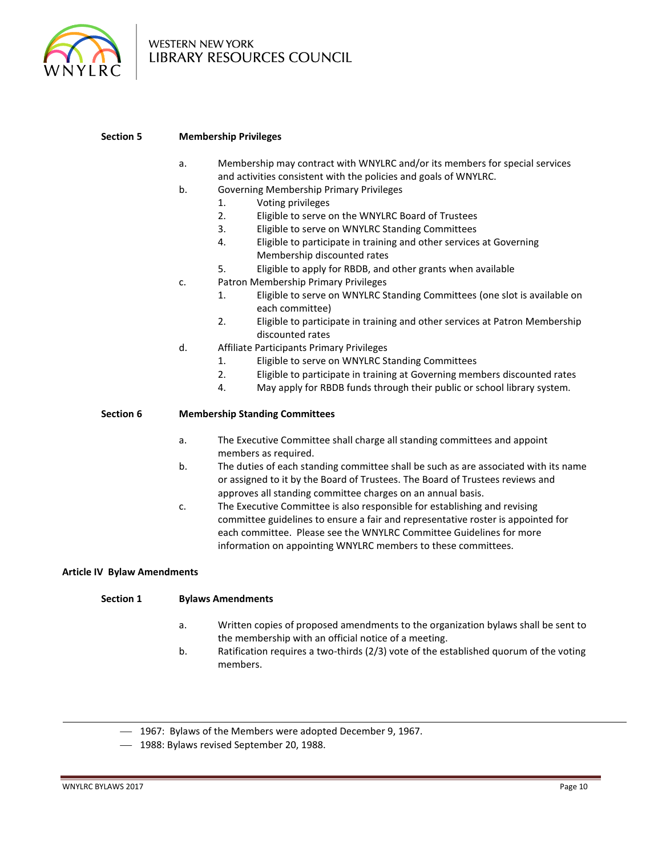

#### **Section 5 Membership Privileges**

- a. Membership may contract with WNYLRC and/or its members for special services and activities consistent with the policies and goals of WNYLRC.
- b. Governing Membership Primary Privileges
	- 1. Voting privileges
	- 2. Eligible to serve on the WNYLRC Board of Trustees
	- 3. Eligible to serve on WNYLRC Standing Committees
	- 4. Eligible to participate in training and other services at Governing Membership discounted rates
	- 5. Eligible to apply for RBDB, and other grants when available
- c. Patron Membership Primary Privileges
	- 1. Eligible to serve on WNYLRC Standing Committees (one slot is available on each committee)
	- 2. Eligible to participate in training and other services at Patron Membership discounted rates
- d. Affiliate Participants Primary Privileges
	- 1. Eligible to serve on WNYLRC Standing Committees
	- 2. Eligible to participate in training at Governing members discounted rates
	- 4. May apply for RBDB funds through their public or school library system.

#### **Section 6 Membership Standing Committees**

- a. The Executive Committee shall charge all standing committees and appoint members as required.
- b. The duties of each standing committee shall be such as are associated with its name or assigned to it by the Board of Trustees. The Board of Trustees reviews and approves all standing committee charges on an annual basis.
- c. The Executive Committee is also responsible for establishing and revising committee guidelines to ensure a fair and representative roster is appointed for each committee. Please see the WNYLRC Committee Guidelines for more information on appointing WNYLRC members to these committees.

#### **Article IV Bylaw Amendments**

**Section 1 Bylaws Amendments**

- a. Written copies of proposed amendments to the organization bylaws shall be sent to the membership with an official notice of a meeting.
- b. Ratification requires a two-thirds (2/3) vote of the established quorum of the voting members.
- 1967: Bylaws of the Members were adopted December 9, 1967.
- 1988: Bylaws revised September 20, 1988.